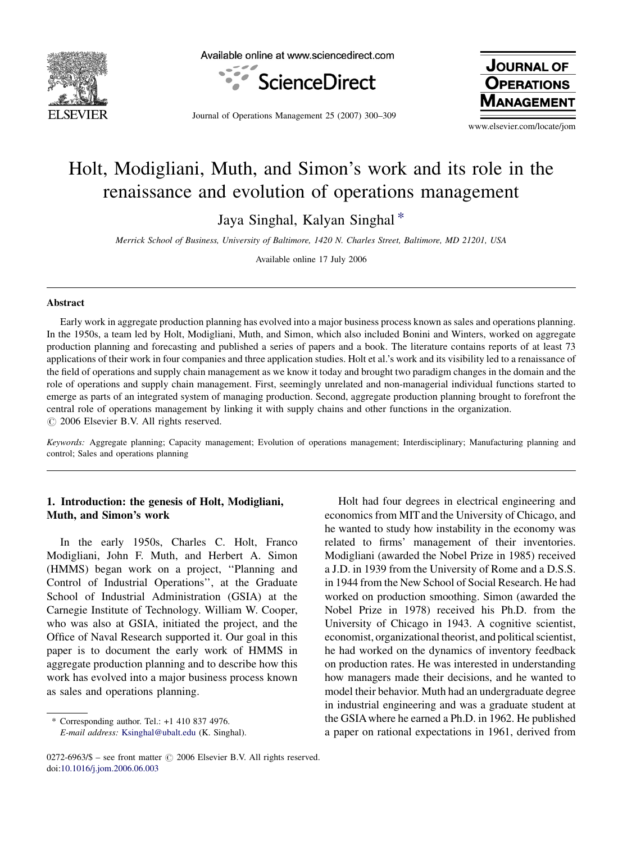

Available online at www.sciencedirect.com



Journal of Operations Management 25 (2007) 300–309

**JOURNAL OF OPERATIONS JAGEMENT** 

www.elsevier.com/locate/jom

# Holt, Modigliani, Muth, and Simon's work and its role in the renaissance and evolution of operations management

Jaya Singhal, Kalyan Singhal \*

Merrick School of Business, University of Baltimore, 1420 N. Charles Street, Baltimore, MD 21201, USA

Available online 17 July 2006

#### Abstract

Early work in aggregate production planning has evolved into a major business process known as sales and operations planning. In the 1950s, a team led by Holt, Modigliani, Muth, and Simon, which also included Bonini and Winters, worked on aggregate production planning and forecasting and published a series of papers and a book. The literature contains reports of at least 73 applications of their work in four companies and three application studies. Holt et al.'s work and its visibility led to a renaissance of the field of operations and supply chain management as we know it today and brought two paradigm changes in the domain and the role of operations and supply chain management. First, seemingly unrelated and non-managerial individual functions started to emerge as parts of an integrated system of managing production. Second, aggregate production planning brought to forefront the central role of operations management by linking it with supply chains and other functions in the organization.  $\odot$  2006 Elsevier B.V. All rights reserved.

Keywords: Aggregate planning; Capacity management; Evolution of operations management; Interdisciplinary; Manufacturing planning and control; Sales and operations planning

## 1. Introduction: the genesis of Holt, Modigliani, Muth, and Simon's work

In the early 1950s, Charles C. Holt, Franco Modigliani, John F. Muth, and Herbert A. Simon (HMMS) began work on a project, ''Planning and Control of Industrial Operations'', at the Graduate School of Industrial Administration (GSIA) at the Carnegie Institute of Technology. William W. Cooper, who was also at GSIA, initiated the project, and the Office of Naval Research supported it. Our goal in this paper is to document the early work of HMMS in aggregate production planning and to describe how this work has evolved into a major business process known as sales and operations planning.

Holt had four degrees in electrical engineering and economics from MIT and the University of Chicago, and he wanted to study how instability in the economy was related to firms' management of their inventories. Modigliani (awarded the Nobel Prize in 1985) received a J.D. in 1939 from the University of Rome and a D.S.S. in 1944 from the New School of Social Research. He had worked on production smoothing. Simon (awarded the Nobel Prize in 1978) received his Ph.D. from the University of Chicago in 1943. A cognitive scientist, economist, organizational theorist, and political scientist, he had worked on the dynamics of inventory feedback on production rates. He was interested in understanding how managers made their decisions, and he wanted to model their behavior. Muth had an undergraduate degree in industrial engineering and was a graduate student at the GSIAwhere he earned a Ph.D. in 1962. He published a paper on rational expectations in 1961, derived from

<sup>\*</sup> Corresponding author. Tel.: +1 410 837 4976. E-mail address: [Ksinghal@ubalt.edu](mailto:Ksinghal@ubalt.edu) (K. Singhal).

 $0272-6963/\$$  – see front matter  $\odot$  2006 Elsevier B.V. All rights reserved. doi:[10.1016/j.jom.2006.06.003](http://dx.doi.org/10.1016/j.jom.2006.06.003)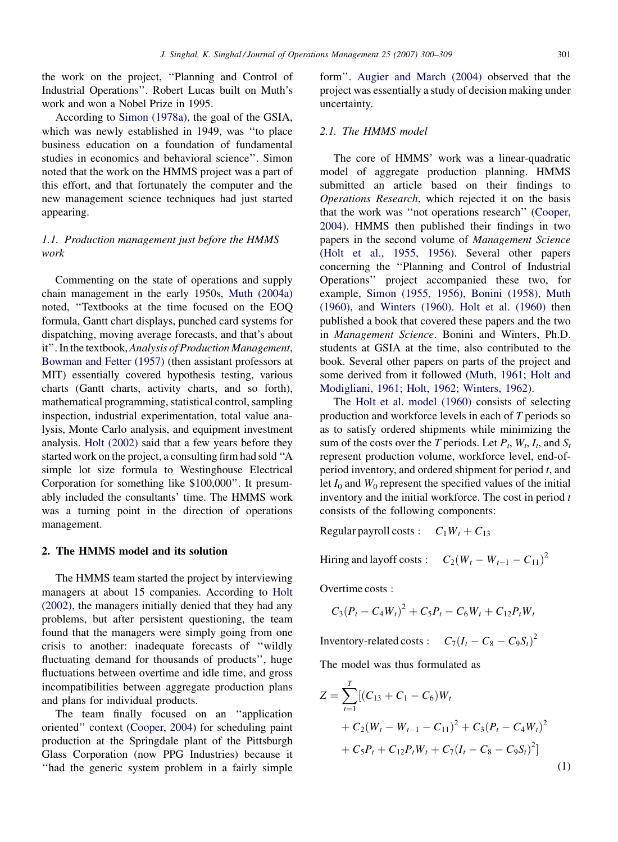the work on the project, ''Planning and Control of Industrial Operations''. Robert Lucas built on Muth's work and won a Nobel Prize in 1995.

According to [Simon \(1978a\),](#page--1-0) the goal of the GSIA, which was newly established in 1949, was ''to place business education on a foundation of fundamental studies in economics and behavioral science''. Simon noted that the work on the HMMS project was a part of this effort, and that fortunately the computer and the new management science techniques had just started appearing.

## 1.1. Production management just before the HMMS work

Commenting on the state of operations and supply chain management in the early 1950s, [Muth \(2004a\)](#page--1-0) noted, ''Textbooks at the time focused on the EOQ formula, Gantt chart displays, punched card systems for dispatching, moving average forecasts, and that's about it''. In the textbook,Analysis of Production Management, [Bowman and Fetter \(1957\)](#page--1-0) (then assistant professors at MIT) essentially covered hypothesis testing, various charts (Gantt charts, activity charts, and so forth), mathematical programming, statistical control, sampling inspection, industrial experimentation, total value analysis, Monte Carlo analysis, and equipment investment analysis. [Holt \(2002\)](#page--1-0) said that a few years before they started work on the project, a consulting firm had sold ''A simple lot size formula to Westinghouse Electrical Corporation for something like \$100,000''. It presumably included the consultants' time. The HMMS work was a turning point in the direction of operations management.

### 2. The HMMS model and its solution

The HMMS team started the project by interviewing managers at about 15 companies. According to [Holt](#page--1-0) [\(2002\)](#page--1-0), the managers initially denied that they had any problems, but after persistent questioning, the team found that the managers were simply going from one crisis to another: inadequate forecasts of ''wildly fluctuating demand for thousands of products'', huge fluctuations between overtime and idle time, and gross incompatibilities between aggregate production plans and plans for individual products.

The team finally focused on an ''application oriented'' context ([Cooper, 2004\)](#page--1-0) for scheduling paint production at the Springdale plant of the Pittsburgh Glass Corporation (now PPG Industries) because it ''had the generic system problem in a fairly simple

form''. [Augier and March \(2004\)](#page--1-0) observed that the project was essentially a study of decision making under uncertainty.

## 2.1. The HMMS model

The core of HMMS' work was a linear-quadratic model of aggregate production planning. HMMS submitted an article based on their findings to Operations Research, which rejected it on the basis that the work was ''not operations research'' ([Cooper,](#page--1-0) [2004\)](#page--1-0). HMMS then published their findings in two papers in the second volume of Management Science [\(Holt et al., 1955, 1956\)](#page--1-0). Several other papers concerning the ''Planning and Control of Industrial Operations'' project accompanied these two, for example, [Simon \(1955, 1956\)](#page--1-0), [Bonini \(1958\)](#page--1-0), [Muth](#page--1-0) [\(1960\),](#page--1-0) and [Winters \(1960\).](#page--1-0) [Holt et al. \(1960\)](#page--1-0) then published a book that covered these papers and the two in Management Science. Bonini and Winters, Ph.D. students at GSIA at the time, also contributed to the book. Several other papers on parts of the project and some derived from it followed ([Muth, 1961; Holt and](#page--1-0) [Modigliani, 1961; Holt, 1962; Winters, 1962](#page--1-0)).

The [Holt et al. model \(1960\)](#page--1-0) consists of selecting production and workforce levels in each of T periods so as to satisfy ordered shipments while minimizing the sum of the costs over the T periods. Let  $P_t$ ,  $W_t$ ,  $I_t$ , and  $S_t$ represent production volume, workforce level, end-ofperiod inventory, and ordered shipment for period t, and let  $I_0$  and  $W_0$  represent the specified values of the initial inventory and the initial workforce. The cost in period  $t$ consists of the following components:

Regular payroll costs :  $C_1W_t + C_{13}$ 

Hiring and layoff costs :  $C_2(W_t - W_{t-1} - C_{11})^2$ 

Overtime costs :

$$
C_3(P_t - C_4W_t)^2 + C_5P_t - C_6W_t + C_{12}P_tW_t
$$

Inventory-related costs :  $C_7(I_t - C_8 - C_9S_t)^2$ 

The model was thus formulated as

$$
Z = \sum_{t=1}^{T} [(C_{13} + C_1 - C_6)W_t
$$
  
+  $C_2(W_t - W_{t-1} - C_{11})^2 + C_3(P_t - C_4W_t)^2$   
+  $C_5P_t + C_{12}P_tW_t + C_7(I_t - C_8 - C_9S_t)^2]$  (1)

(1)